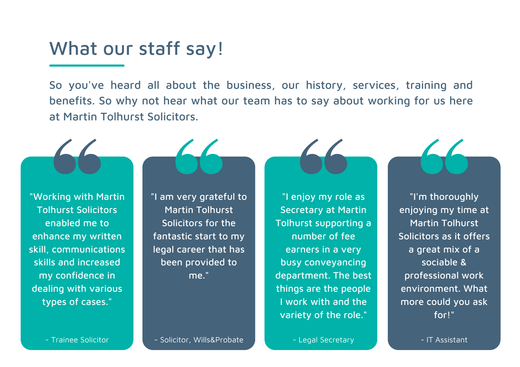## What our staff say!

So you've heard all about the business, our history, services, training and benefits. So why not hear what our team has to say about working for us here at Martin Tolhurst Solicitors.

"Working with Martin Tolhurst Solicitors enabled me to enhance my written skill, communications skills and increased my confidence in dealing with various types of cases."

"I am very grateful to Martin Tolhurst Solicitors for the fantastic start to my legal career that has been provided to me."

"I enjoy my role as Secretary at Martin Tolhurst supporting a number of fee earners in a very busy conveyancing department. The best things are the people I work with and the variety of the role."

"I'm thoroughly enjoying my time at Martin Tolhurst Solicitors as it offers a great mix of a sociable & professional work environment. What more could you ask for!"

- Trainee Solicitor

- Solicitor, Wills&Probate

- IT Assistant